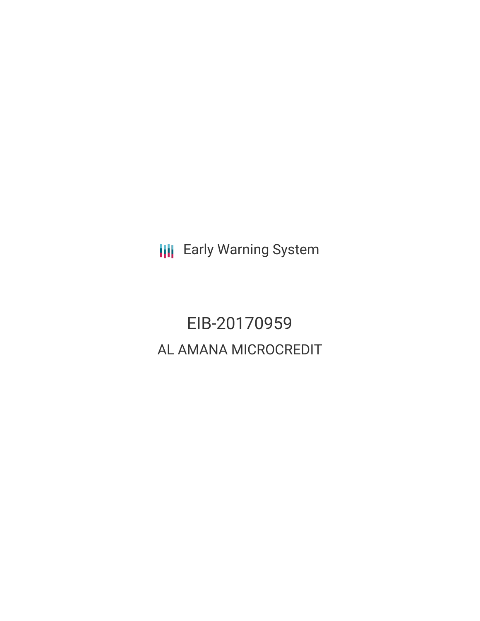**III** Early Warning System

EIB-20170959 AL AMANA MICROCREDIT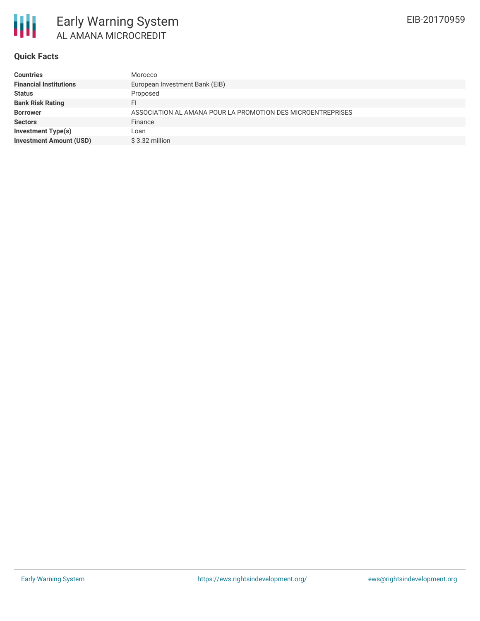

#### **Quick Facts**

| Morocco                                                     |
|-------------------------------------------------------------|
| European Investment Bank (EIB)                              |
| Proposed                                                    |
| FI                                                          |
| ASSOCIATION AL AMANA POUR LA PROMOTION DES MICROENTREPRISES |
| Finance                                                     |
| Loan                                                        |
| $$3.32$ million                                             |
|                                                             |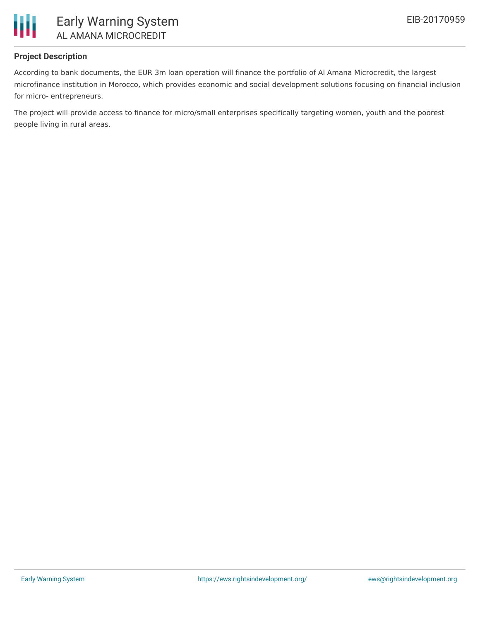

# **Project Description**

According to bank documents, the EUR 3m loan operation will finance the portfolio of Al Amana Microcredit, the largest microfinance institution in Morocco, which provides economic and social development solutions focusing on financial inclusion for micro- entrepreneurs.

The project will provide access to finance for micro/small enterprises specifically targeting women, youth and the poorest people living in rural areas.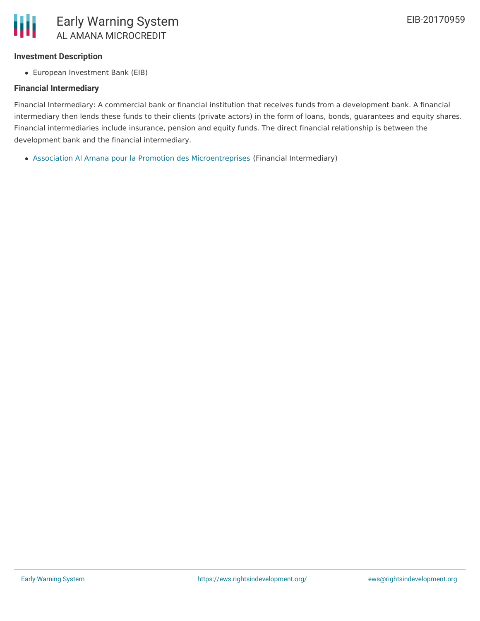

#### **Investment Description**

European Investment Bank (EIB)

# **Financial Intermediary**

Financial Intermediary: A commercial bank or financial institution that receives funds from a development bank. A financial intermediary then lends these funds to their clients (private actors) in the form of loans, bonds, guarantees and equity shares. Financial intermediaries include insurance, pension and equity funds. The direct financial relationship is between the development bank and the financial intermediary.

Association Al Amana pour la Promotion des [Microentreprises](file:///actor/1001/) (Financial Intermediary)